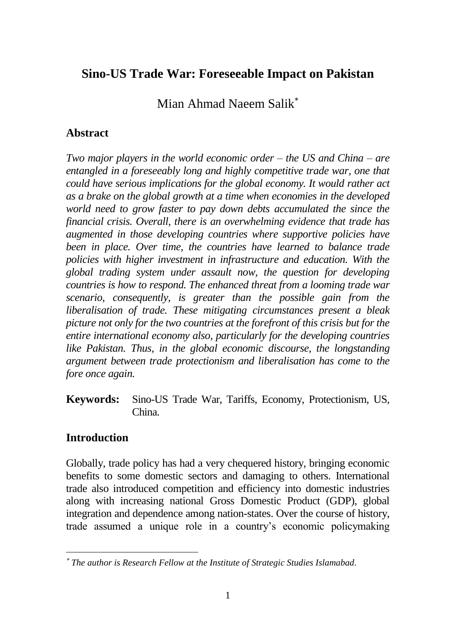# **Sino-US Trade War: Foreseeable Impact on Pakistan**

Mian Ahmad Naeem Salik

## **Abstract**

*Two major players in the world economic order – the US and China – are entangled in a foreseeably long and highly competitive trade war, one that could have serious implications for the global economy. It would rather act as a brake on the global growth at a time when economies in the developed world need to grow faster to pay down debts accumulated the since the financial crisis. Overall, there is an overwhelming evidence that trade has augmented in those developing countries where supportive policies have been in place. Over time, the countries have learned to balance trade policies with higher investment in infrastructure and education. With the global trading system under assault now, the question for developing countries is how to respond. The enhanced threat from a looming trade war scenario, consequently, is greater than the possible gain from the liberalisation of trade. These mitigating circumstances present a bleak picture not only for the two countries at the forefront of this crisis but for the entire international economy also, particularly for the developing countries like Pakistan. Thus, in the global economic discourse, the longstanding argument between trade protectionism and liberalisation has come to the fore once again.*

**Keywords:** Sino-US Trade War, Tariffs, Economy, Protectionism, US, China.

# **Introduction**

Globally, trade policy has had a very chequered history, bringing economic benefits to some domestic sectors and damaging to others. International trade also introduced competition and efficiency into domestic industries along with increasing national Gross Domestic Product (GDP), global integration and dependence among nation-states. Over the course of history, trade assumed a unique role in a country's economic policymaking

*The author is Research Fellow at the Institute of Strategic Studies Islamabad.*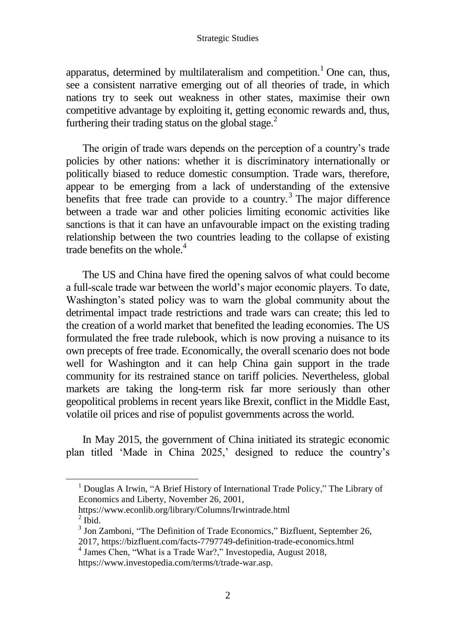apparatus, determined by multilateralism and competition.<sup>1</sup> One can, thus, see a consistent narrative emerging out of all theories of trade, in which nations try to seek out weakness in other states, maximise their own competitive advantage by exploiting it, getting economic rewards and, thus, furthering their trading status on the global stage.<sup>2</sup>

The origin of trade wars depends on the perception of a country's trade policies by other nations: whether it is discriminatory internationally or politically biased to reduce domestic consumption. Trade wars, therefore, appear to be emerging from a lack of understanding of the extensive benefits that free trade can provide to a country.<sup>3</sup> The major difference between a trade war and other policies limiting economic activities like sanctions is that it can have an unfavourable impact on the existing trading relationship between the two countries leading to the collapse of existing trade benefits on the whole. $4$ 

The US and China have fired the opening salvos of what could become a full-scale trade war between the world's major economic players. To date, Washington's stated policy was to warn the global community about the detrimental impact trade restrictions and trade wars can create; this led to the creation of a world market that benefited the leading economies. The US formulated the free trade rulebook, which is now proving a nuisance to its own precepts of free trade. Economically, the overall scenario does not bode well for Washington and it can help China gain support in the trade community for its restrained stance on tariff policies. Nevertheless, global markets are taking the long-term risk far more seriously than other geopolitical problems in recent years like Brexit, conflict in the Middle East, volatile oil prices and rise of populist governments across the world.

In May 2015, the government of China initiated its strategic economic plan titled 'Made in China 2025,' designed to reduce the country's

https://www.econlib.org/library/Columns/Irwintrade.html

<sup>&</sup>lt;sup>1</sup> Douglas A Irwin, "A Brief History of International Trade Policy," The Library of Economics and Liberty, November 26, 2001,

 $^{2}$  Ibid.

<sup>&</sup>lt;sup>3</sup> Jon Zamboni, "The Definition of Trade Economics," Bizfluent, September 26, 2017, https://bizfluent.com/facts-7797749-definition-trade-economics.html

<sup>4</sup> James Chen, "What is a Trade War?," Investopedia, August 2018,

https://www.investopedia.com/terms/t/trade-war.asp.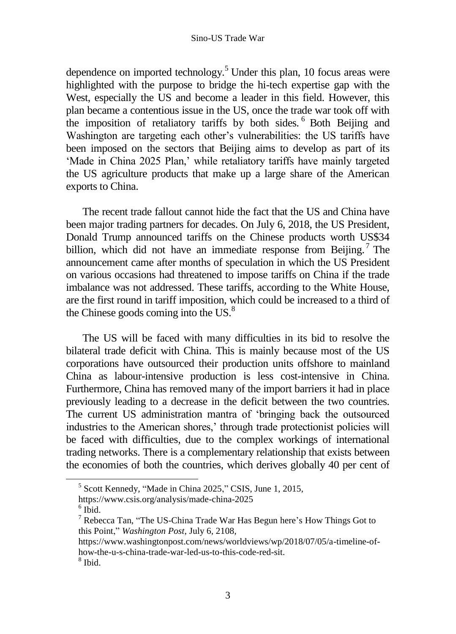dependence on imported technology.<sup>5</sup> Under this plan, 10 focus areas were highlighted with the purpose to bridge the hi-tech expertise gap with the West, especially the US and become a leader in this field. However, this plan became a contentious issue in the US, once the trade war took off with the imposition of retaliatory tariffs by both sides.  $6$  Both Beijing and Washington are targeting each other's vulnerabilities: the US tariffs have been imposed on the sectors that Beijing aims to develop as part of its 'Made in China 2025 Plan,' while retaliatory tariffs have mainly targeted the US agriculture products that make up a large share of the American exports to China.

The recent trade fallout cannot hide the fact that the US and China have been major trading partners for decades. On July 6, 2018, the US President, Donald Trump announced tariffs on the Chinese products worth US\$34 billion, which did not have an immediate response from Beijing.<sup>7</sup> The announcement came after months of speculation in which the US President on various occasions had threatened to impose tariffs on China if the trade imbalance was not addressed. These tariffs, according to the White House, are the first round in tariff imposition, which could be increased to a third of the Chinese goods coming into the US.<sup>8</sup>

The US will be faced with many difficulties in its bid to resolve the bilateral trade deficit with China. This is mainly because most of the US corporations have outsourced their production units offshore to mainland China as labour-intensive production is less cost-intensive in China. Furthermore, China has removed many of the import barriers it had in place previously leading to a decrease in the deficit between the two countries. The current US administration mantra of 'bringing back the outsourced industries to the American shores,' through trade protectionist policies will be faced with difficulties, due to the complex workings of international trading networks. There is a complementary relationship that exists between the economies of both the countries, which derives globally 40 per cent of

<sup>5</sup> Scott Kennedy, "Made in China 2025," CSIS, June 1, 2015,

https://www.csis.org/analysis/made-china-2025

 $6$  Ibid.

<sup>7</sup> Rebecca Tan, "The US-China Trade War Has Begun here's How Things Got to this Point," *Washington Post*, July 6, 2108,

https://www.washingtonpost.com/news/worldviews/wp/2018/07/05/a-timeline-ofhow-the-u-s-china-trade-war-led-us-to-this-code-red-sit.

<sup>8</sup> Ibid.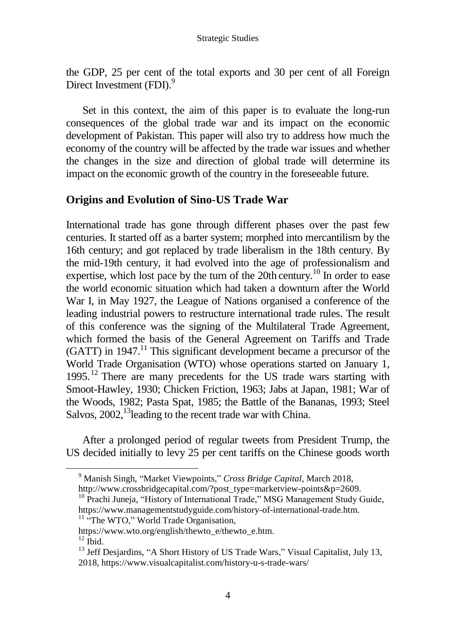the GDP, 25 per cent of the total exports and 30 per cent of all Foreign Direct Investment (FDI).<sup>9</sup>

Set in this context, the aim of this paper is to evaluate the long-run consequences of the global trade war and its impact on the economic development of Pakistan. This paper will also try to address how much the economy of the country will be affected by the trade war issues and whether the changes in the size and direction of global trade will determine its impact on the economic growth of the country in the foreseeable future.

# **Origins and Evolution of Sino-US Trade War**

International trade has gone through different phases over the past few centuries. It started off as a barter system; morphed into mercantilism by the 16th century; and got replaced by trade liberalism in the 18th century. By the mid-19th century, it had evolved into the age of professionalism and expertise, which lost pace by the turn of the  $20$ th century.<sup>10</sup> In order to ease the world economic situation which had taken a downturn after the World War I, in May 1927, the League of Nations organised a conference of the leading industrial powers to restructure international trade rules. The result of this conference was the signing of the Multilateral Trade Agreement, which formed the basis of the General Agreement on Tariffs and Trade  $(GATT)$  in 1947.<sup>11</sup> This significant development became a precursor of the World Trade Organisation (WTO) whose operations started on January 1, 1995.<sup>12</sup> There are many precedents for the US trade wars starting with Smoot-Hawley, 1930; Chicken Friction, 1963; Jabs at Japan, 1981; War of the Woods, 1982; Pasta Spat, 1985; the Battle of the Bananas, 1993; Steel Salvos,  $2002$ ,  $13$  leading to the recent trade war with China.

After a prolonged period of regular tweets from President Trump, the US decided initially to levy 25 per cent tariffs on the Chinese goods worth

https://www.wto.org/english/thewto\_e/thewto\_e.htm.

<sup>9</sup> Manish Singh, "Market Viewpoints," *Cross Bridge Capital*, March 2018,

http://www.crossbridgecapital.com/?post\_type=marketview-points&p=2609.

<sup>&</sup>lt;sup>10</sup> Prachi Juneja, "History of International Trade," MSG Management Study Guide, https://www.managementstudyguide.com/history-of-international-trade.htm. <sup>11</sup> "The WTO," World Trade Organisation,

 $12$  Ibid.

<sup>&</sup>lt;sup>13</sup> Jeff Desjardins, "A Short History of US Trade Wars," Visual Capitalist, July 13, 2018, https://www.visualcapitalist.com/history-u-s-trade-wars/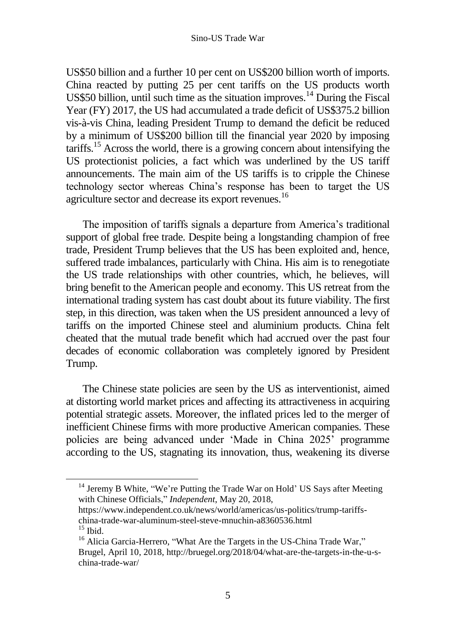US\$50 billion and a further 10 per cent on US\$200 billion worth of imports. China reacted by putting 25 per cent tariffs on the US products worth US\$50 billion, until such time as the situation improves.<sup>14</sup> During the Fiscal Year (FY) 2017, the US had accumulated a trade deficit of US\$375.2 billion vis-à-vis China, leading President Trump to demand the deficit be reduced by a minimum of US\$200 billion till the financial year 2020 by imposing tariffs.<sup>15</sup> Across the world, there is a growing concern about intensifying the US protectionist policies, a fact which was underlined by the US tariff announcements. The main aim of the US tariffs is to cripple the Chinese technology sector whereas China's response has been to target the US agriculture sector and decrease its export revenues.<sup>16</sup>

The imposition of tariffs signals a departure from America's traditional support of global free trade. Despite being a longstanding champion of free trade, President Trump believes that the US has been exploited and, hence, suffered trade imbalances, particularly with China. His aim is to renegotiate the US trade relationships with other countries, which, he believes, will bring benefit to the American people and economy. This US retreat from the international trading system has cast doubt about its future viability. The first step, in this direction, was taken when the US president announced a levy of tariffs on the imported Chinese steel and aluminium products. China felt cheated that the mutual trade benefit which had accrued over the past four decades of economic collaboration was completely ignored by President Trump.

The Chinese state policies are seen by the US as interventionist, aimed at distorting world market prices and affecting its attractiveness in acquiring potential strategic assets. Moreover, the inflated prices led to the merger of inefficient Chinese firms with more productive American companies. These policies are being advanced under 'Made in China 2025' programme according to the US, stagnating its innovation, thus, weakening its diverse

<sup>&</sup>lt;sup>14</sup> Jeremy B White, "We're Putting the Trade War on Hold' US Says after Meeting with Chinese Officials," *Independent*, May 20, 2018,

https://www.independent.co.uk/news/world/americas/us-politics/trump-tariffschina-trade-war-aluminum-steel-steve-mnuchin-a8360536.html

 $15$  Ibid.

<sup>&</sup>lt;sup>16</sup> Alicia Garcia-Herrero, "What Are the Targets in the US-China Trade War," Brugel, April 10, 2018, http://bruegel.org/2018/04/what-are-the-targets-in-the-u-schina-trade-war/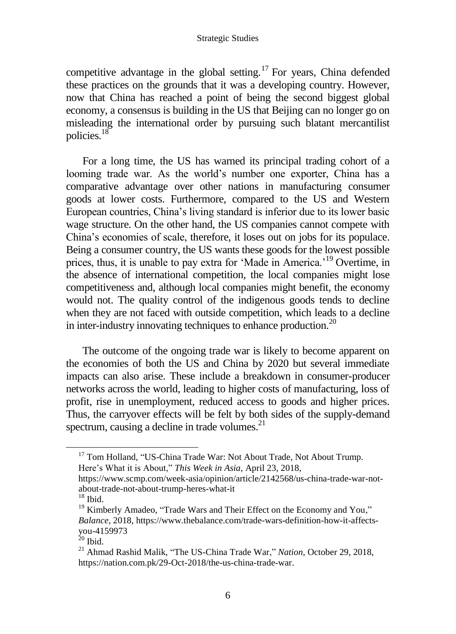competitive advantage in the global setting.<sup>17</sup> For years, China defended these practices on the grounds that it was a developing country. However, now that China has reached a point of being the second biggest global economy, a consensus is building in the US that Beijing can no longer go on misleading the international order by pursuing such blatant mercantilist policies.<sup>18</sup>

For a long time, the US has warned its principal trading cohort of a looming trade war. As the world's number one exporter, China has a comparative advantage over other nations in manufacturing consumer goods at lower costs. Furthermore, compared to the US and Western European countries, China's living standard is inferior due to its lower basic wage structure. On the other hand, the US companies cannot compete with China's economies of scale, therefore, it loses out on jobs for its populace. Being a consumer country, the US wants these goods for the lowest possible prices, thus, it is unable to pay extra for 'Made in America.'<sup>19</sup> Overtime, in the absence of international competition, the local companies might lose competitiveness and, although local companies might benefit, the economy would not. The quality control of the indigenous goods tends to decline when they are not faced with outside competition, which leads to a decline in inter-industry innovating techniques to enhance production.<sup>20</sup>

The outcome of the ongoing trade war is likely to become apparent on the economies of both the US and China by 2020 but several immediate impacts can also arise. These include a breakdown in consumer-producer networks across the world, leading to higher costs of manufacturing, loss of profit, rise in unemployment, reduced access to goods and higher prices. Thus, the carryover effects will be felt by both sides of the supply-demand spectrum, causing a decline in trade volumes. $^{21}$ 

<sup>&</sup>lt;sup>17</sup> Tom Holland, "US-China Trade War: Not About Trade, Not About Trump. Here's What it is About," *This Week in Asia*, April 23, 2018,

https://www.scmp.com/week-asia/opinion/article/2142568/us-china-trade-war-notabout-trade-not-about-trump-heres-what-it

 $18$  Ibid.

 $19$  Kimberly Amadeo, "Trade Wars and Their Effect on the Economy and You," *Balance*, 2018, https://www.thebalance.com/trade-wars-definition-how-it-affectsyou-4159973

 $20$  Ibid.

<sup>21</sup> Ahmad Rashid Malik, "The US-China Trade War," *Nation*, October 29, 2018, https://nation.com.pk/29-Oct-2018/the-us-china-trade-war.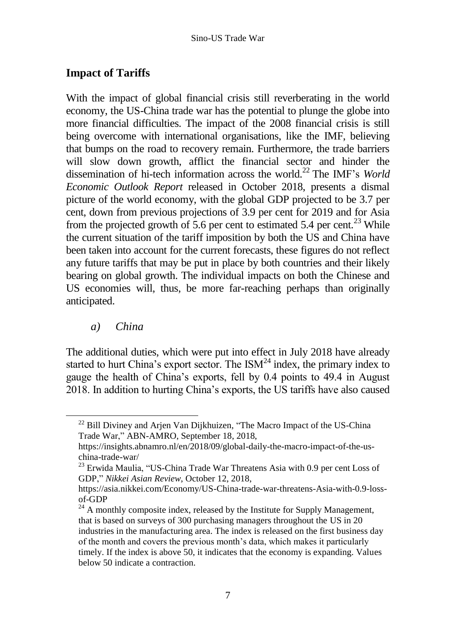# **Impact of Tariffs**

With the impact of global financial crisis still reverberating in the world economy, the US-China trade war has the potential to plunge the globe into more financial difficulties. The impact of the 2008 financial crisis is still being overcome with international organisations, like the IMF, believing that bumps on the road to recovery remain. Furthermore, the trade barriers will slow down growth, afflict the financial sector and hinder the dissemination of hi-tech information across the world.<sup>22</sup> The IMF's *World Economic Outlook Report* released in October 2018, presents a dismal picture of the world economy, with the global GDP projected to be 3.7 per cent, down from previous projections of 3.9 per cent for 2019 and for Asia from the projected growth of 5.6 per cent to estimated 5.4 per cent.<sup>23</sup> While the current situation of the tariff imposition by both the US and China have been taken into account for the current forecasts, these figures do not reflect any future tariffs that may be put in place by both countries and their likely bearing on global growth. The individual impacts on both the Chinese and US economies will, thus, be more far-reaching perhaps than originally anticipated.

## *a) China*

 $\overline{a}$ 

The additional duties, which were put into effect in July 2018 have already started to hurt China's export sector. The  $ISM<sup>24</sup>$  index, the primary index to gauge the health of China's exports, fell by 0.4 points to 49.4 in August 2018. In addition to hurting China's exports, the US tariffs have also caused

 $^{22}$  Bill Diviney and Arjen Van Dijkhuizen, "The Macro Impact of the US-China" Trade War," ABN-AMRO, September 18, 2018,

https://insights.abnamro.nl/en/2018/09/global-daily-the-macro-impact-of-the-uschina-trade-war/

<sup>&</sup>lt;sup>23</sup> Erwida Maulia, "US-China Trade War Threatens Asia with 0.9 per cent Loss of GDP," *Nikkei Asian Review*, October 12, 2018,

https://asia.nikkei.com/Economy/US-China-trade-war-threatens-Asia-with-0.9-lossof-GDP

 $^{24}$  A monthly composite index, released by the Institute for Supply Management, that is based on surveys of 300 purchasing managers throughout the US in 20 industries in the manufacturing area. The index is released on the first business day of the month and covers the previous month's data, which makes it particularly timely. If the index is above 50, it indicates that the economy is expanding. Values below 50 indicate a contraction.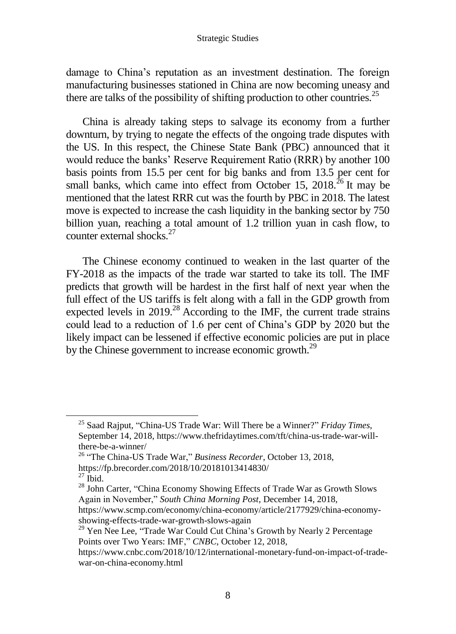damage to China's reputation as an investment destination. The foreign manufacturing businesses stationed in China are now becoming uneasy and there are talks of the possibility of shifting production to other countries.<sup>25</sup>

China is already taking steps to salvage its economy from a further downturn, by trying to negate the effects of the ongoing trade disputes with the US. In this respect, the Chinese State Bank (PBC) announced that it would reduce the banks' Reserve Requirement Ratio (RRR) by another 100 basis points from 15.5 per cent for big banks and from 13.5 per cent for small banks, which came into effect from October 15,  $2018^{26}$  It may be mentioned that the latest RRR cut was the fourth by PBC in 2018. The latest move is expected to increase the cash liquidity in the banking sector by 750 billion yuan, reaching a total amount of 1.2 trillion yuan in cash flow, to counter external shocks.<sup>27</sup>

The Chinese economy continued to weaken in the last quarter of the FY-2018 as the impacts of the trade war started to take its toll. The IMF predicts that growth will be hardest in the first half of next year when the full effect of the US tariffs is felt along with a fall in the GDP growth from expected levels in  $2019<sup>28</sup>$  According to the IMF, the current trade strains could lead to a reduction of 1.6 per cent of China's GDP by 2020 but the likely impact can be lessened if effective economic policies are put in place by the Chinese government to increase economic growth.<sup>29</sup>

<sup>25</sup> Saad Rajput, "China-US Trade War: Will There be a Winner?" *Friday Times*, September 14, 2018, https://www.thefridaytimes.com/tft/china-us-trade-war-willthere-be-a-winner/

<sup>26</sup> "The China-US Trade War," *Business Recorder*, October 13, 2018, https://fp.brecorder.com/2018/10/20181013414830/

 $27$  Ibid.

<sup>&</sup>lt;sup>28</sup> John Carter, "China Economy Showing Effects of Trade War as Growth Slows Again in November," *South China Morning Post*, December 14, 2018, https://www.scmp.com/economy/china-economy/article/2177929/china-economyshowing-effects-trade-war-growth-slows-again

<sup>&</sup>lt;sup>29</sup> Yen Nee Lee, "Trade War Could Cut China's Growth by Nearly 2 Percentage Points over Two Years: IMF," *CNBC*, October 12, 2018,

https://www.cnbc.com/2018/10/12/international-monetary-fund-on-impact-of-tradewar-on-china-economy.html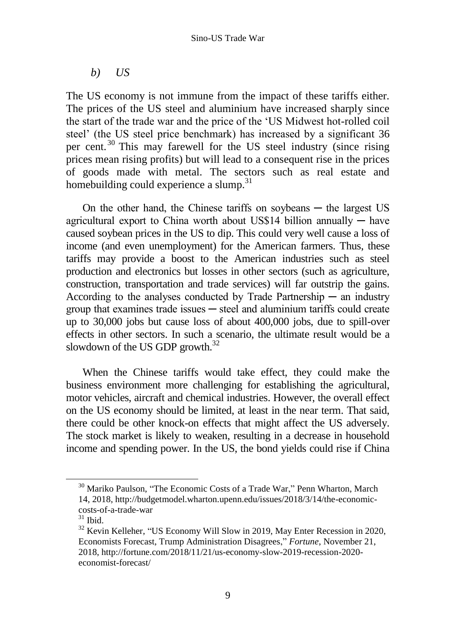## *b) US*

The US economy is not immune from the impact of these tariffs either. The prices of the US steel and aluminium have increased sharply since the start of the trade war and the price of the 'US Midwest hot-rolled coil steel' (the US steel price benchmark) has increased by a significant 36 per cent.<sup>30</sup> This may farewell for the US steel industry (since rising prices mean rising profits) but will lead to a consequent rise in the prices of goods made with metal. The sectors such as real estate and homebuilding could experience a slump.<sup>31</sup>

On the other hand, the Chinese tariffs on soybeans — the largest US agricultural export to China worth about US\$14 billion annually  $-$  have caused soybean prices in the US to dip. This could very well cause a loss of income (and even unemployment) for the American farmers. Thus, these tariffs may provide a boost to the American industries such as steel production and electronics but losses in other sectors (such as agriculture, construction, transportation and trade services) will far outstrip the gains. According to the analyses conducted by Trade Partnership  $-$  an industry group that examines trade issues  $-$  steel and aluminium tariffs could create up to 30,000 jobs but cause loss of about 400,000 jobs, due to spill-over effects in other sectors. In such a scenario, the ultimate result would be a slowdown of the US GDP growth. $32$ 

When the Chinese tariffs would take effect, they could make the business environment more challenging for establishing the agricultural, motor vehicles, aircraft and chemical industries. However, the overall effect on the US economy should be limited, at least in the near term. That said, there could be other knock-on effects that might affect the US adversely. The stock market is likely to weaken, resulting in a decrease in household income and spending power. In the US, the bond yields could rise if China

<sup>&</sup>lt;sup>30</sup> Mariko Paulson, "The Economic Costs of a Trade War," Penn Wharton, March 14, 2018, http://budgetmodel.wharton.upenn.edu/issues/2018/3/14/the-economiccosts-of-a-trade-war

 $31$  Ibid.

<sup>&</sup>lt;sup>32</sup> Kevin Kelleher, "US Economy Will Slow in 2019, May Enter Recession in 2020, Economists Forecast, Trump Administration Disagrees," *Fortune*, November 21, 2018, http://fortune.com/2018/11/21/us-economy-slow-2019-recession-2020 economist-forecast/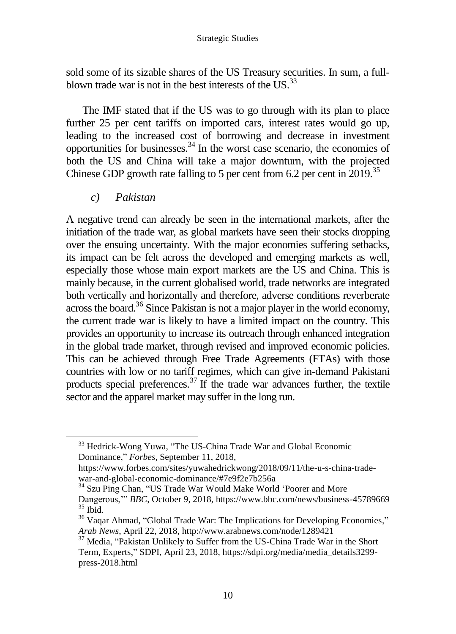sold some of its sizable shares of the US Treasury securities. In sum, a fullblown trade war is not in the best interests of the  $US<sup>33</sup>$ .

The IMF stated that if the US was to go through with its plan to place further 25 per cent tariffs on imported cars, interest rates would go up, leading to the increased cost of borrowing and decrease in investment opportunities for businesses. $34$  In the worst case scenario, the economies of both the US and China will take a major downturn, with the projected Chinese GDP growth rate falling to 5 per cent from  $6.2$  per cent in 2019.<sup>35</sup>

*c) Pakistan* 

A negative trend can already be seen in the international markets, after the initiation of the trade war, as global markets have seen their stocks dropping over the ensuing uncertainty. With the major economies suffering setbacks, its impact can be felt across the developed and emerging markets as well, especially those whose main export markets are the US and China. This is mainly because, in the current globalised world, trade networks are integrated both vertically and horizontally and therefore, adverse conditions reverberate across the board.<sup>36</sup> Since Pakistan is not a major player in the world economy, the current trade war is likely to have a limited impact on the country. This provides an opportunity to increase its outreach through enhanced integration in the global trade market, through revised and improved economic policies. This can be achieved through Free Trade Agreements (FTAs) with those countries with low or no tariff regimes, which can give in-demand Pakistani products special preferences. $^{37}$  If the trade war advances further, the textile sector and the apparel market may suffer in the long run.

<sup>34</sup> Szu Ping Chan, "US Trade War Would Make World 'Poorer and More Dangerous,'" *BBC*, October 9, 2018, https://www.bbc.com/news/business-45789669  $35$  Ibid.

<sup>&</sup>lt;sup>33</sup> Hedrick-Wong Yuwa, "The US-China Trade War and Global Economic Dominance," *Forbes*, September 11, 2018,

https://www.forbes.com/sites/yuwahedrickwong/2018/09/11/the-u-s-china-tradewar-and-global-economic-dominance/#7e9f2e7b256a

<sup>&</sup>lt;sup>36</sup> Vaqar Ahmad, "Global Trade War: The Implications for Developing Economies," *Arab News*, April 22, 2018, http://www.arabnews.com/node/1289421

<sup>&</sup>lt;sup>37</sup> Media, "Pakistan Unlikely to Suffer from the US-China Trade War in the Short Term, Experts," SDPI, April 23, 2018, https://sdpi.org/media/media\_details3299 press-2018.html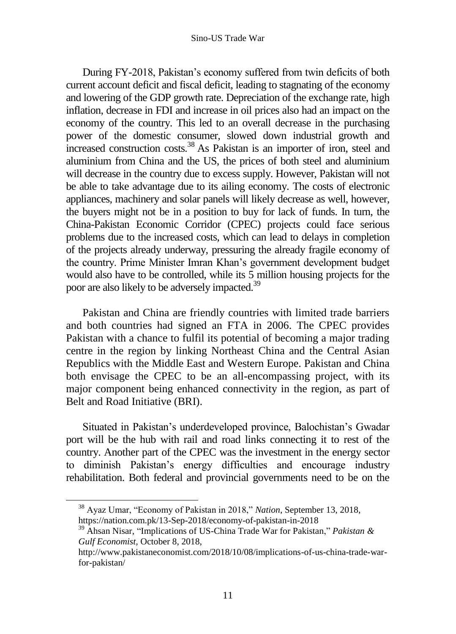During FY-2018, Pakistan's economy suffered from twin deficits of both current account deficit and fiscal deficit, leading to stagnating of the economy and lowering of the GDP growth rate. Depreciation of the exchange rate, high inflation, decrease in FDI and increase in oil prices also had an impact on the economy of the country. This led to an overall decrease in the purchasing power of the domestic consumer, slowed down industrial growth and increased construction costs.<sup>38</sup> As Pakistan is an importer of iron, steel and aluminium from China and the US, the prices of both steel and aluminium will decrease in the country due to excess supply. However, Pakistan will not be able to take advantage due to its ailing economy. The costs of electronic appliances, machinery and solar panels will likely decrease as well, however, the buyers might not be in a position to buy for lack of funds. In turn, the China-Pakistan Economic Corridor (CPEC) projects could face serious problems due to the increased costs, which can lead to delays in completion of the projects already underway, pressuring the already fragile economy of the country. Prime Minister Imran Khan's government development budget would also have to be controlled, while its 5 million housing projects for the poor are also likely to be adversely impacted.<sup>39</sup>

Pakistan and China are friendly countries with limited trade barriers and both countries had signed an FTA in 2006. The CPEC provides Pakistan with a chance to fulfil its potential of becoming a major trading centre in the region by linking Northeast China and the Central Asian Republics with the Middle East and Western Europe. Pakistan and China both envisage the CPEC to be an all-encompassing project, with its major component being enhanced connectivity in the region, as part of Belt and Road Initiative (BRI).

Situated in Pakistan's underdeveloped province, Balochistan's Gwadar port will be the hub with rail and road links connecting it to rest of the country. Another part of the CPEC was the investment in the energy sector to diminish Pakistan's energy difficulties and encourage industry rehabilitation. Both federal and provincial governments need to be on the

<sup>38</sup> Ayaz Umar, "Economy of Pakistan in 2018," *Nation*, September 13, 2018, https://nation.com.pk/13-Sep-2018/economy-of-pakistan-in-2018

<sup>39</sup> Ahsan Nisar, "Implications of US-China Trade War for Pakistan," *Pakistan & Gulf Economist*, October 8, 2018,

http://www.pakistaneconomist.com/2018/10/08/implications-of-us-china-trade-warfor-pakistan/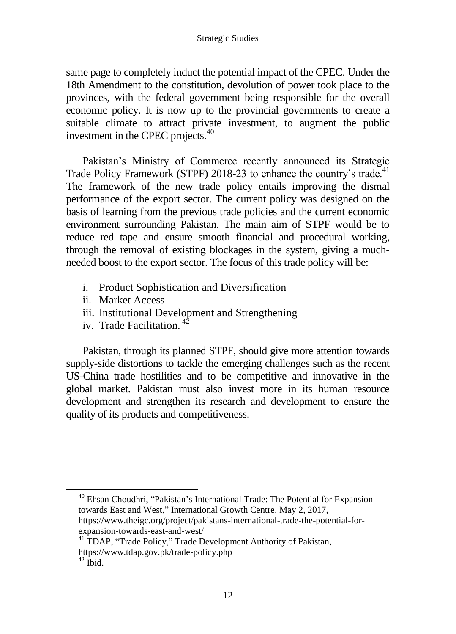same page to completely induct the potential impact of the CPEC. Under the 18th Amendment to the constitution, devolution of power took place to the provinces, with the federal government being responsible for the overall economic policy. It is now up to the provincial governments to create a suitable climate to attract private investment, to augment the public investment in the CPEC projects.<sup>40</sup>

Pakistan's Ministry of Commerce recently announced its Strategic Trade Policy Framework (STPF) 2018-23 to enhance the country's trade.<sup>41</sup> The framework of the new trade policy entails improving the dismal performance of the export sector. The current policy was designed on the basis of learning from the previous trade policies and the current economic environment surrounding Pakistan. The main aim of STPF would be to reduce red tape and ensure smooth financial and procedural working, through the removal of existing blockages in the system, giving a muchneeded boost to the export sector. The focus of this trade policy will be:

- i. Product Sophistication and Diversification
- ii. Market Access
- iii. Institutional Development and Strengthening
- iv. Trade Facilitation.<sup>42</sup>

Pakistan, through its planned STPF, should give more attention towards supply-side distortions to tackle the emerging challenges such as the recent US-China trade hostilities and to be competitive and innovative in the global market. Pakistan must also invest more in its human resource development and strengthen its research and development to ensure the quality of its products and competitiveness.

<sup>40</sup> Ehsan Choudhri, "Pakistan's International Trade: The Potential for Expansion towards East and West," International Growth Centre, May 2, 2017, https://www.theigc.org/project/pakistans-international-trade-the-potential-for-

expansion-towards-east-and-west/

<sup>&</sup>lt;sup>41</sup> TDAP, "Trade Policy," Trade Development Authority of Pakistan, https://www.tdap.gov.pk/trade-policy.php

 $42$  Ibid.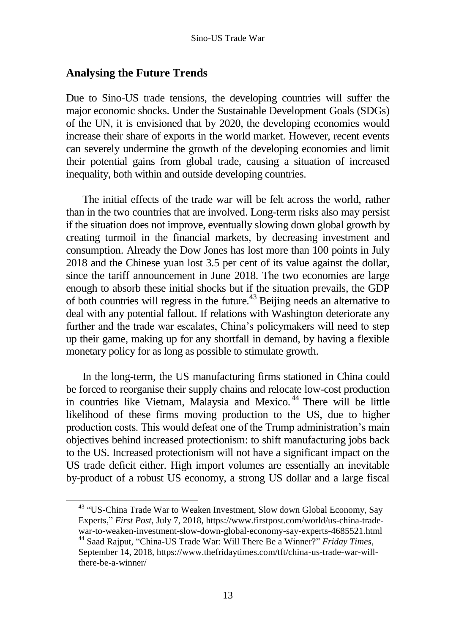## **Analysing the Future Trends**

Due to Sino-US trade tensions, the developing countries will suffer the major economic shocks. Under the Sustainable Development Goals (SDGs) of the UN, it is envisioned that by 2020, the developing economies would increase their share of exports in the world market. However, recent events can severely undermine the growth of the developing economies and limit their potential gains from global trade, causing a situation of increased inequality, both within and outside developing countries.

The initial effects of the trade war will be felt across the world, rather than in the two countries that are involved. Long-term risks also may persist if the situation does not improve, eventually slowing down global growth by creating turmoil in the financial markets, by decreasing investment and consumption. Already the Dow Jones has lost more than 100 points in July 2018 and the Chinese yuan lost 3.5 per cent of its value against the dollar, since the tariff announcement in June 2018. The two economies are large enough to absorb these initial shocks but if the situation prevails, the GDP of both countries will regress in the future.<sup>43</sup> Beijing needs an alternative to deal with any potential fallout. If relations with Washington deteriorate any further and the trade war escalates, China's policymakers will need to step up their game, making up for any shortfall in demand, by having a flexible monetary policy for as long as possible to stimulate growth.

In the long-term, the US manufacturing firms stationed in China could be forced to reorganise their supply chains and relocate low-cost production in countries like Vietnam, Malaysia and Mexico.<sup>44</sup> There will be little likelihood of these firms moving production to the US, due to higher production costs. This would defeat one of the Trump administration's main objectives behind increased protectionism: to shift manufacturing jobs back to the US. Increased protectionism will not have a significant impact on the US trade deficit either. High import volumes are essentially an inevitable by-product of a robust US economy, a strong US dollar and a large fiscal

<sup>43</sup> "US-China Trade War to Weaken Investment, Slow down Global Economy, Say Experts," *First Post*, July 7, 2018, https://www.firstpost.com/world/us-china-tradewar-to-weaken-investment-slow-down-global-economy-say-experts-4685521.html <sup>44</sup> Saad Rajput, "China-US Trade War: Will There Be a Winner?" *Friday Times*, September 14, 2018, https://www.thefridaytimes.com/tft/china-us-trade-war-willthere-be-a-winner/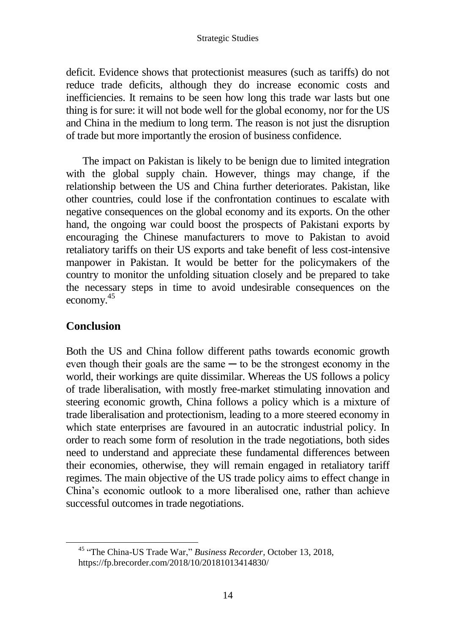deficit. Evidence shows that protectionist measures (such as tariffs) do not reduce trade deficits, although they do increase economic costs and inefficiencies. It remains to be seen how long this trade war lasts but one thing is for sure: it will not bode well for the global economy, nor for the US and China in the medium to long term. The reason is not just the disruption of trade but more importantly the erosion of business confidence.

The impact on Pakistan is likely to be benign due to limited integration with the global supply chain. However, things may change, if the relationship between the US and China further deteriorates. Pakistan, like other countries, could lose if the confrontation continues to escalate with negative consequences on the global economy and its exports. On the other hand, the ongoing war could boost the prospects of Pakistani exports by encouraging the Chinese manufacturers to move to Pakistan to avoid retaliatory tariffs on their US exports and take benefit of less cost-intensive manpower in Pakistan. It would be better for the policymakers of the country to monitor the unfolding situation closely and be prepared to take the necessary steps in time to avoid undesirable consequences on the economy. 45

# **Conclusion**

 $\overline{a}$ 

Both the US and China follow different paths towards economic growth even though their goals are the same  $-$  to be the strongest economy in the world, their workings are quite dissimilar. Whereas the US follows a policy of trade liberalisation, with mostly free-market stimulating innovation and steering economic growth, China follows a policy which is a mixture of trade liberalisation and protectionism, leading to a more steered economy in which state enterprises are favoured in an autocratic industrial policy. In order to reach some form of resolution in the trade negotiations, both sides need to understand and appreciate these fundamental differences between their economies, otherwise, they will remain engaged in retaliatory tariff regimes. The main objective of the US trade policy aims to effect change in China's economic outlook to a more liberalised one, rather than achieve successful outcomes in trade negotiations.

<sup>45</sup> "The China-US Trade War," *Business Recorder*, October 13, 2018, https://fp.brecorder.com/2018/10/20181013414830/